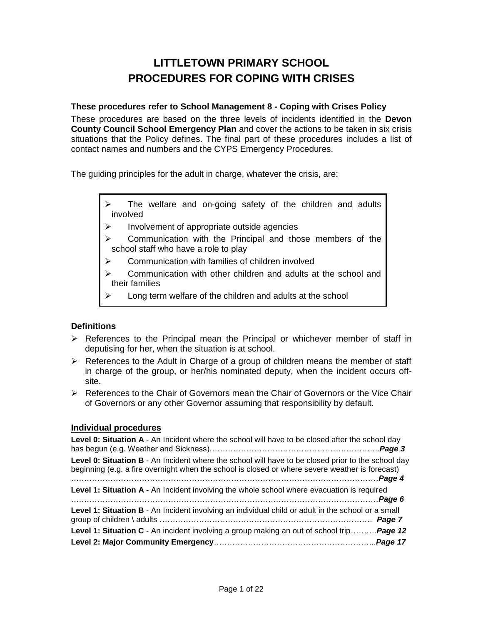## **LITTLETOWN PRIMARY SCHOOL PROCEDURES FOR COPING WITH CRISES**

#### **These procedures refer to School Management 8 - Coping with Crises Policy**

These procedures are based on the three levels of incidents identified in the **Devon County Council School Emergency Plan** and cover the actions to be taken in six crisis situations that the Policy defines. The final part of these procedures includes a list of contact names and numbers and the CYPS Emergency Procedures.

The guiding principles for the adult in charge, whatever the crisis, are:

- The welfare and on-going safety of the children and adults involved
- $\triangleright$  Involvement of appropriate outside agencies
- $\triangleright$  Communication with the Principal and those members of the school staff who have a role to play
- $\triangleright$  Communication with families of children involved
- $\triangleright$  Communication with other children and adults at the school and their families
- Long term welfare of the children and adults at the school

#### **Definitions**

- $\triangleright$  References to the Principal mean the Principal or whichever member of staff in deputising for her, when the situation is at school.
- $\triangleright$  References to the Adult in Charge of a group of children means the member of staff in charge of the group, or her/his nominated deputy, when the incident occurs offsite.
- $\triangleright$  References to the Chair of Governors mean the Chair of Governors or the Vice Chair of Governors or any other Governor assuming that responsibility by default.

#### **Individual procedures**

| Level 0: Situation A - An Incident where the school will have to be closed after the school day                                                                                                       |  |
|-------------------------------------------------------------------------------------------------------------------------------------------------------------------------------------------------------|--|
| Level 0: Situation B - An Incident where the school will have to be closed prior to the school day<br>beginning (e.g. a fire overnight when the school is closed or where severe weather is forecast) |  |
| Level 1: Situation A - An Incident involving the whole school where evacuation is required                                                                                                            |  |
| Level 1: Situation B - An Incident involving an individual child or adult in the school or a small                                                                                                    |  |
| <b>Level 1: Situation C</b> - An incident involving a group making an out of school trip <b>Page 12</b>                                                                                               |  |
|                                                                                                                                                                                                       |  |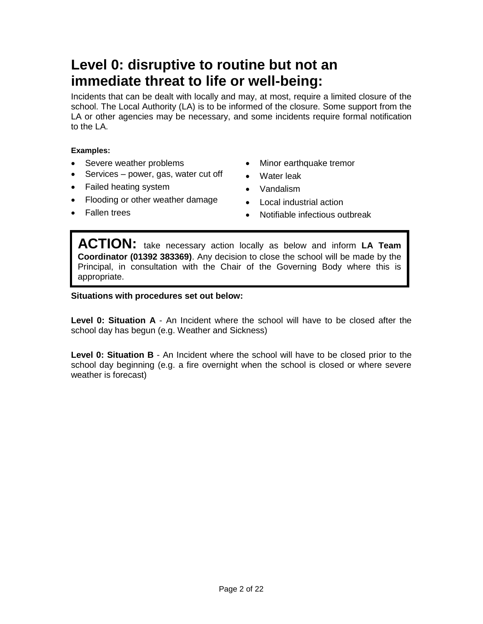# **Level 0: disruptive to routine but not an immediate threat to life or well-being:**

Incidents that can be dealt with locally and may, at most, require a limited closure of the school. The Local Authority (LA) is to be informed of the closure. Some support from the LA or other agencies may be necessary, and some incidents require formal notification to the LA.

#### **Examples:**

- Severe weather problems
- Services power, gas, water cut off
- Failed heating system
- Flooding or other weather damage
- Minor earthquake tremor
- Water leak
- Vandalism
- Local industrial action

• Fallen trees

• Notifiable infectious outbreak

**ACTION:** take necessary action locally as below and inform **LA Team Coordinator (01392 383369)**. Any decision to close the school will be made by the Principal, in consultation with the Chair of the Governing Body where this is appropriate.

#### **Situations with procedures set out below:**

**Level 0: Situation A** - An Incident where the school will have to be closed after the school day has begun (e.g. Weather and Sickness)

**Level 0: Situation B** - An Incident where the school will have to be closed prior to the school day beginning (e.g. a fire overnight when the school is closed or where severe weather is forecast)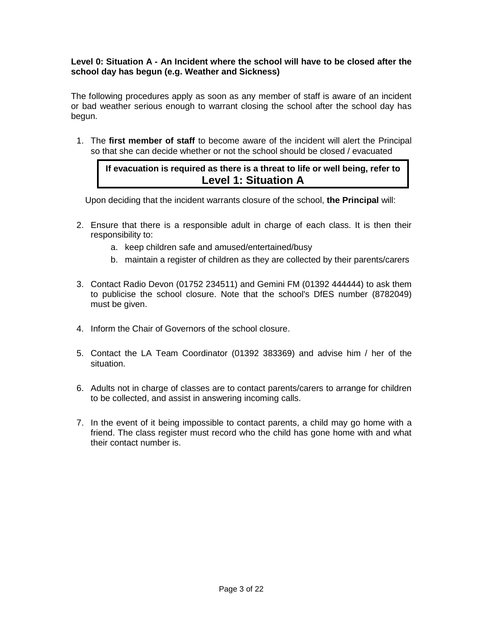#### **Level 0: Situation A - An Incident where the school will have to be closed after the school day has begun (e.g. Weather and Sickness)**

The following procedures apply as soon as any member of staff is aware of an incident or bad weather serious enough to warrant closing the school after the school day has begun.

1. The **first member of staff** to become aware of the incident will alert the Principal so that she can decide whether or not the school should be closed / evacuated

#### **If evacuation is required as there is a threat to life or well being, refer to Level 1: Situation A**

Upon deciding that the incident warrants closure of the school, **the Principal** will:

- 2. Ensure that there is a responsible adult in charge of each class. It is then their responsibility to:
	- a. keep children safe and amused/entertained/busy
	- b. maintain a register of children as they are collected by their parents/carers
- 3. Contact Radio Devon (01752 234511) and Gemini FM (01392 444444) to ask them to publicise the school closure. Note that the school's DfES number (8782049) must be given.
- 4. Inform the Chair of Governors of the school closure.
- 5. Contact the LA Team Coordinator (01392 383369) and advise him / her of the situation.
- 6. Adults not in charge of classes are to contact parents/carers to arrange for children to be collected, and assist in answering incoming calls.
- 7. In the event of it being impossible to contact parents, a child may go home with a friend. The class register must record who the child has gone home with and what their contact number is.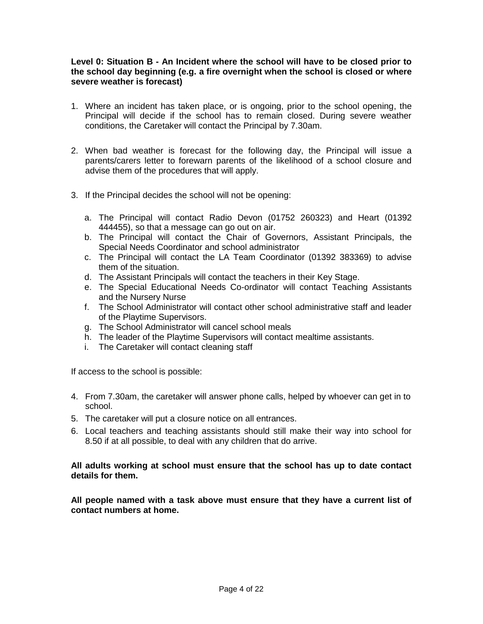#### **Level 0: Situation B - An Incident where the school will have to be closed prior to the school day beginning (e.g. a fire overnight when the school is closed or where severe weather is forecast)**

- 1. Where an incident has taken place, or is ongoing, prior to the school opening, the Principal will decide if the school has to remain closed. During severe weather conditions, the Caretaker will contact the Principal by 7.30am.
- 2. When bad weather is forecast for the following day, the Principal will issue a parents/carers letter to forewarn parents of the likelihood of a school closure and advise them of the procedures that will apply.
- 3. If the Principal decides the school will not be opening:
	- a. The Principal will contact Radio Devon (01752 260323) and Heart (01392 444455), so that a message can go out on air.
	- b. The Principal will contact the Chair of Governors, Assistant Principals, the Special Needs Coordinator and school administrator
	- c. The Principal will contact the LA Team Coordinator (01392 383369) to advise them of the situation.
	- d. The Assistant Principals will contact the teachers in their Key Stage.
	- e. The Special Educational Needs Co-ordinator will contact Teaching Assistants and the Nursery Nurse
	- f. The School Administrator will contact other school administrative staff and leader of the Playtime Supervisors.
	- g. The School Administrator will cancel school meals
	- h. The leader of the Playtime Supervisors will contact mealtime assistants.
	- i. The Caretaker will contact cleaning staff

If access to the school is possible:

- 4. From 7.30am, the caretaker will answer phone calls, helped by whoever can get in to school.
- 5. The caretaker will put a closure notice on all entrances.
- 6. Local teachers and teaching assistants should still make their way into school for 8.50 if at all possible, to deal with any children that do arrive.

#### **All adults working at school must ensure that the school has up to date contact details for them.**

**All people named with a task above must ensure that they have a current list of contact numbers at home.**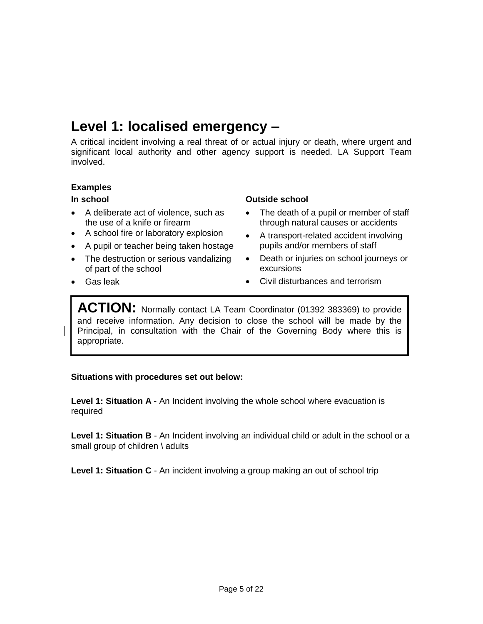# **Level 1: localised emergency –**

A critical incident involving a real threat of or actual injury or death, where urgent and significant local authority and other agency support is needed. LA Support Team involved.

#### **Examples**

#### **In school**

Gas leak

- A deliberate act of violence, such as the use of a knife or firearm
- A school fire or laboratory explosion
- A pupil or teacher being taken hostage
- The destruction or serious vandalizing of part of the school

#### **Outside school**

- The death of a pupil or member of staff through natural causes or accidents
- A transport-related accident involving pupils and/or members of staff
- Death or injuries on school journeys or excursions
- Civil disturbances and terrorism

ACTION: Normally contact LA Team Coordinator (01392 383369) to provide and receive information. Any decision to close the school will be made by the Principal, in consultation with the Chair of the Governing Body where this is appropriate.

#### **Situations with procedures set out below:**

**Level 1: Situation A -** An Incident involving the whole school where evacuation is required

**Level 1: Situation B** - An Incident involving an individual child or adult in the school or a small group of children \ adults

**Level 1: Situation C** - An incident involving a group making an out of school trip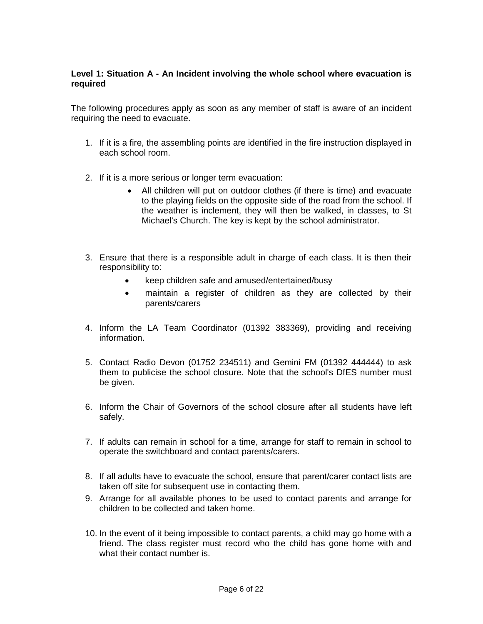#### **Level 1: Situation A - An Incident involving the whole school where evacuation is required**

The following procedures apply as soon as any member of staff is aware of an incident requiring the need to evacuate.

- 1. If it is a fire, the assembling points are identified in the fire instruction displayed in each school room.
- 2. If it is a more serious or longer term evacuation:
	- All children will put on outdoor clothes (if there is time) and evacuate to the playing fields on the opposite side of the road from the school. If the weather is inclement, they will then be walked, in classes, to St Michael's Church. The key is kept by the school administrator.
- 3. Ensure that there is a responsible adult in charge of each class. It is then their responsibility to:
	- keep children safe and amused/entertained/busy
	- maintain a register of children as they are collected by their parents/carers
- 4. Inform the LA Team Coordinator (01392 383369), providing and receiving information.
- 5. Contact Radio Devon (01752 234511) and Gemini FM (01392 444444) to ask them to publicise the school closure. Note that the school's DfES number must be given.
- 6. Inform the Chair of Governors of the school closure after all students have left safely.
- 7. If adults can remain in school for a time, arrange for staff to remain in school to operate the switchboard and contact parents/carers.
- 8. If all adults have to evacuate the school, ensure that parent/carer contact lists are taken off site for subsequent use in contacting them.
- 9. Arrange for all available phones to be used to contact parents and arrange for children to be collected and taken home.
- 10. In the event of it being impossible to contact parents, a child may go home with a friend. The class register must record who the child has gone home with and what their contact number is.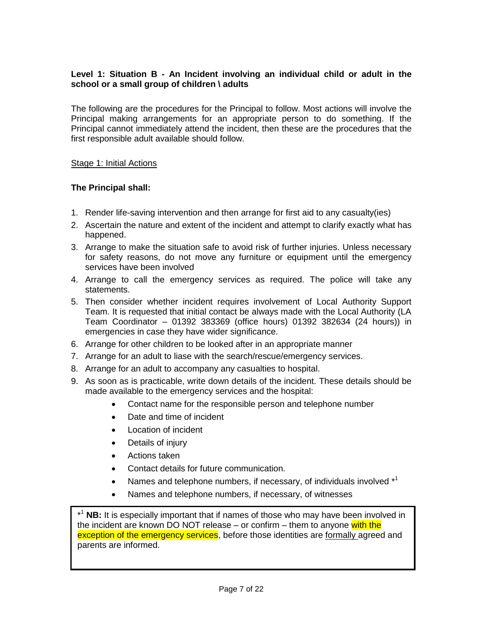#### **Level 1: Situation B - An Incident involving an individual child or adult in the school or a small group of children \ adults**

The following are the procedures for the Principal to follow. Most actions will involve the Principal making arrangements for an appropriate person to do something. If the Principal cannot immediately attend the incident, then these are the procedures that the first responsible adult available should follow.

#### Stage 1: Initial Actions

#### **The Principal shall:**

- 1. Render life-saving intervention and then arrange for first aid to any casualty(ies)
- 2. Ascertain the nature and extent of the incident and attempt to clarify exactly what has happened.
- 3. Arrange to make the situation safe to avoid risk of further injuries. Unless necessary for safety reasons, do not move any furniture or equipment until the emergency services have been involved
- 4. Arrange to call the emergency services as required. The police will take any statements.
- 5. Then consider whether incident requires involvement of Local Authority Support Team. It is requested that initial contact be always made with the Local Authority (LA Team Coordinator – 01392 383369 (office hours) 01392 382634 (24 hours)) in emergencies in case they have wider significance.
- 6. Arrange for other children to be looked after in an appropriate manner
- 7. Arrange for an adult to liase with the search/rescue/emergency services.
- 8. Arrange for an adult to accompany any casualties to hospital.
- 9. As soon as is practicable, write down details of the incident. These details should be made available to the emergency services and the hospital:
	- Contact name for the responsible person and telephone number
	- Date and time of incident
	- Location of incident
	- Details of injury
	- Actions taken
	- Contact details for future communication.
	- Names and telephone numbers, if necessary, of individuals involved  $*^1$
	- Names and telephone numbers, if necessary, of witnesses

\* **NB:** It is especially important that if names of those who may have been involved in the incident are known DO NOT release – or confirm – them to anyone with the exception of the emergency services, before those identities are formally agreed and parents are informed.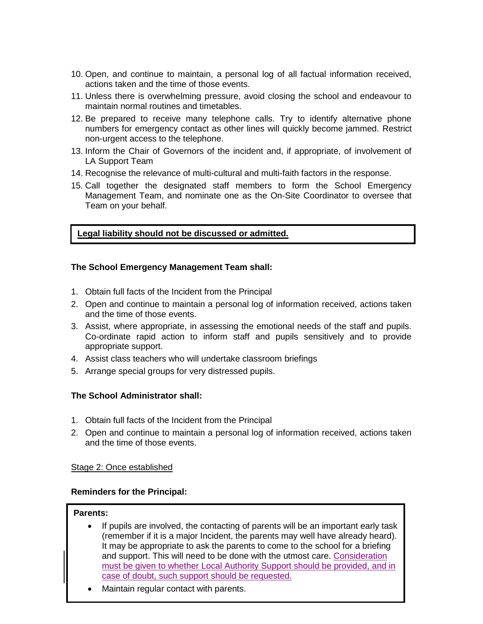- 10. Open, and continue to maintain, a personal log of all factual information received, actions taken and the time of those events.
- 11. Unless there is overwhelming pressure, avoid closing the school and endeavour to maintain normal routines and timetables.
- 12. Be prepared to receive many telephone calls. Try to identify alternative phone numbers for emergency contact as other lines will quickly become jammed. Restrict non-urgent access to the telephone.
- 13. Inform the Chair of Governors of the incident and, if appropriate, of involvement of LA Support Team
- 14. Recognise the relevance of multi-cultural and multi-faith factors in the response.
- 15. Call together the designated staff members to form the School Emergency Management Team, and nominate one as the On-Site Coordinator to oversee that Team on your behalf.

#### **Legal liability should not be discussed or admitted.**

#### **The School Emergency Management Team shall:**

- 1. Obtain full facts of the Incident from the Principal
- 2. Open and continue to maintain a personal log of information received, actions taken and the time of those events.
- 3. Assist, where appropriate, in assessing the emotional needs of the staff and pupils. Co-ordinate rapid action to inform staff and pupils sensitively and to provide appropriate support.
- 4. Assist class teachers who will undertake classroom briefings
- 5. Arrange special groups for very distressed pupils.

#### **The School Administrator shall:**

- 1. Obtain full facts of the Incident from the Principal
- 2. Open and continue to maintain a personal log of information received, actions taken and the time of those events.

#### Stage 2: Once established

#### **Reminders for the Principal:**

#### **Parents:**

- If pupils are involved, the contacting of parents will be an important early task (remember if it is a major Incident, the parents may well have already heard). It may be appropriate to ask the parents to come to the school for a briefing and support. This will need to be done with the utmost care. Consideration must be given to whether Local Authority Support should be provided, and in case of doubt, such support should be requested.
- Maintain regular contact with parents.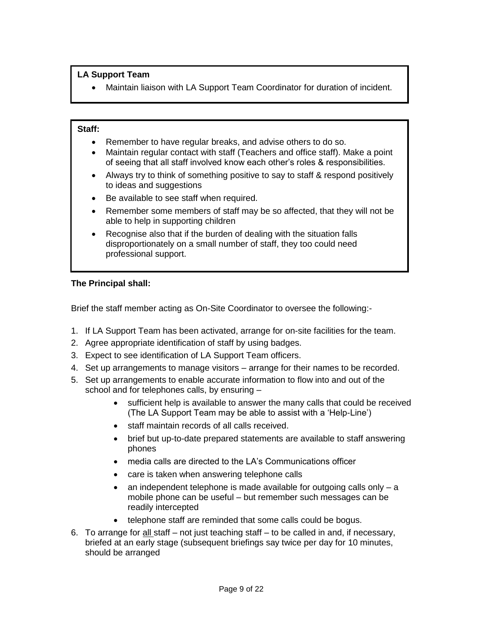#### **LA Support Team**

Maintain liaison with LA Support Team Coordinator for duration of incident.

#### **Staff:**

- Remember to have regular breaks, and advise others to do so.
- Maintain regular contact with staff (Teachers and office staff). Make a point of seeing that all staff involved know each other's roles & responsibilities.
- Always try to think of something positive to say to staff & respond positively to ideas and suggestions
- Be available to see staff when required.
- Remember some members of staff may be so affected, that they will not be able to help in supporting children
- Recognise also that if the burden of dealing with the situation falls disproportionately on a small number of staff, they too could need professional support.

#### **The Principal shall:**

Brief the staff member acting as On-Site Coordinator to oversee the following:-

- 1. If LA Support Team has been activated, arrange for on-site facilities for the team.
- 2. Agree appropriate identification of staff by using badges.
- 3. Expect to see identification of LA Support Team officers.
- 4. Set up arrangements to manage visitors arrange for their names to be recorded.
- 5. Set up arrangements to enable accurate information to flow into and out of the school and for telephones calls, by ensuring –
	- sufficient help is available to answer the many calls that could be received (The LA Support Team may be able to assist with a 'Help-Line')
	- staff maintain records of all calls received.
	- brief but up-to-date prepared statements are available to staff answering phones
	- media calls are directed to the LA's Communications officer
	- care is taken when answering telephone calls
	- $\bullet$  an independent telephone is made available for outgoing calls only  $-$  a mobile phone can be useful – but remember such messages can be readily intercepted
	- telephone staff are reminded that some calls could be bogus.
- 6. To arrange for all staff not just teaching staff to be called in and, if necessary, briefed at an early stage (subsequent briefings say twice per day for 10 minutes, should be arranged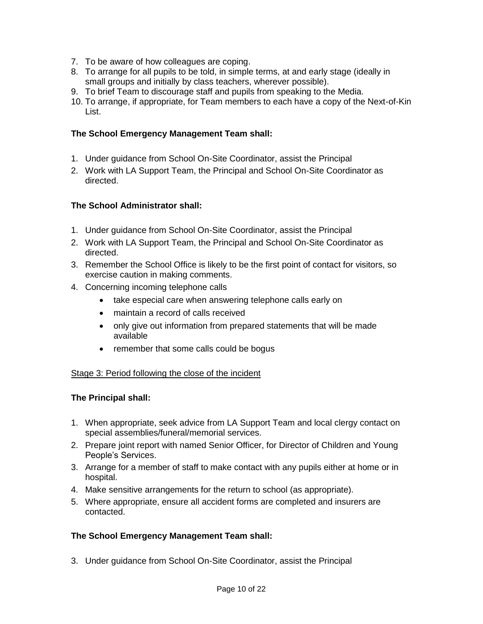- 7. To be aware of how colleagues are coping.
- 8. To arrange for all pupils to be told, in simple terms, at and early stage (ideally in small groups and initially by class teachers, wherever possible).
- 9. To brief Team to discourage staff and pupils from speaking to the Media.
- 10. To arrange, if appropriate, for Team members to each have a copy of the Next-of-Kin List.

#### **The School Emergency Management Team shall:**

- 1. Under guidance from School On-Site Coordinator, assist the Principal
- 2. Work with LA Support Team, the Principal and School On-Site Coordinator as directed.

#### **The School Administrator shall:**

- 1. Under guidance from School On-Site Coordinator, assist the Principal
- 2. Work with LA Support Team, the Principal and School On-Site Coordinator as directed.
- 3. Remember the School Office is likely to be the first point of contact for visitors, so exercise caution in making comments.
- 4. Concerning incoming telephone calls
	- take especial care when answering telephone calls early on
	- maintain a record of calls received
	- only give out information from prepared statements that will be made available
	- remember that some calls could be bogus

#### Stage 3: Period following the close of the incident

#### **The Principal shall:**

- 1. When appropriate, seek advice from LA Support Team and local clergy contact on special assemblies/funeral/memorial services.
- 2. Prepare joint report with named Senior Officer, for Director of Children and Young People's Services.
- 3. Arrange for a member of staff to make contact with any pupils either at home or in hospital.
- 4. Make sensitive arrangements for the return to school (as appropriate).
- 5. Where appropriate, ensure all accident forms are completed and insurers are contacted.

#### **The School Emergency Management Team shall:**

3. Under guidance from School On-Site Coordinator, assist the Principal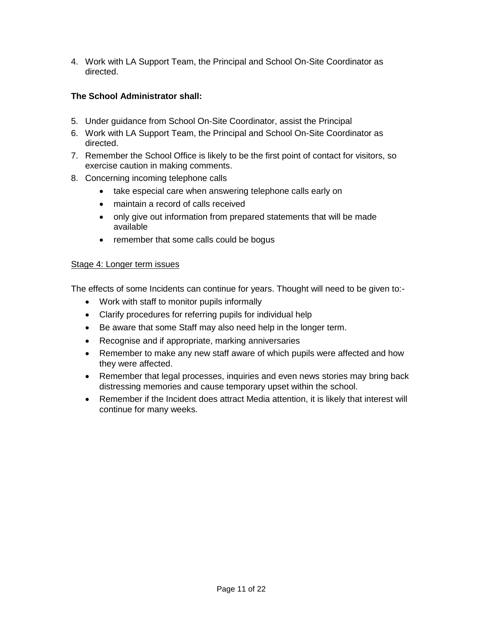4. Work with LA Support Team, the Principal and School On-Site Coordinator as directed.

#### **The School Administrator shall:**

- 5. Under guidance from School On-Site Coordinator, assist the Principal
- 6. Work with LA Support Team, the Principal and School On-Site Coordinator as directed.
- 7. Remember the School Office is likely to be the first point of contact for visitors, so exercise caution in making comments.
- 8. Concerning incoming telephone calls
	- take especial care when answering telephone calls early on
	- maintain a record of calls received
	- only give out information from prepared statements that will be made available
	- remember that some calls could be bogus

#### Stage 4: Longer term issues

The effects of some Incidents can continue for years. Thought will need to be given to:-

- Work with staff to monitor pupils informally
- Clarify procedures for referring pupils for individual help
- Be aware that some Staff may also need help in the longer term.
- Recognise and if appropriate, marking anniversaries
- Remember to make any new staff aware of which pupils were affected and how they were affected.
- Remember that legal processes, inquiries and even news stories may bring back distressing memories and cause temporary upset within the school.
- Remember if the Incident does attract Media attention, it is likely that interest will continue for many weeks.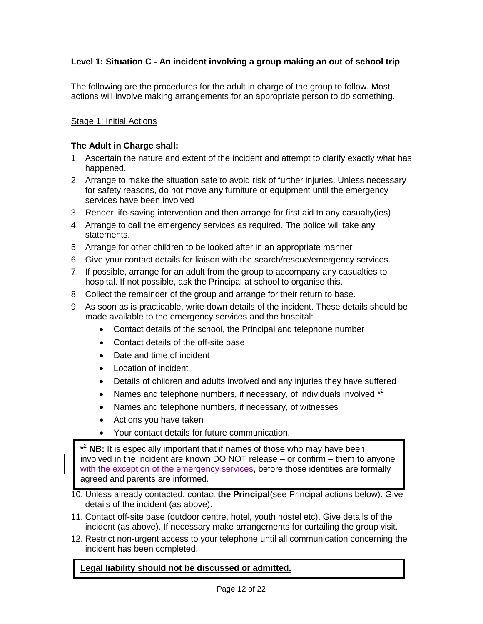#### **Level 1: Situation C - An incident involving a group making an out of school trip**

The following are the procedures for the adult in charge of the group to follow. Most actions will involve making arrangements for an appropriate person to do something.

#### Stage 1: Initial Actions

#### **The Adult in Charge shall:**

- 1. Ascertain the nature and extent of the incident and attempt to clarify exactly what has happened.
- 2. Arrange to make the situation safe to avoid risk of further injuries. Unless necessary for safety reasons, do not move any furniture or equipment until the emergency services have been involved
- 3. Render life-saving intervention and then arrange for first aid to any casualty(ies)
- 4. Arrange to call the emergency services as required. The police will take any statements.
- 5. Arrange for other children to be looked after in an appropriate manner
- 6. Give your contact details for liaison with the search/rescue/emergency services.
- 7. If possible, arrange for an adult from the group to accompany any casualties to hospital. If not possible, ask the Principal at school to organise this.
- 8. Collect the remainder of the group and arrange for their return to base.
- 9. As soon as is practicable, write down details of the incident. These details should be made available to the emergency services and the hospital:
	- Contact details of the school, the Principal and telephone number
	- Contact details of the off-site base
	- Date and time of incident
	- Location of incident
	- Details of children and adults involved and any injuries they have suffered
	- Names and telephone numbers, if necessary, of individuals involved  $*^2$
	- Names and telephone numbers, if necessary, of witnesses
	- Actions you have taken
	- Your contact details for future communication.

**\*** <sup>2</sup> **NB:** It is especially important that if names of those who may have been involved in the incident are known DO NOT release – or confirm – them to anyone with the exception of the emergency services, before those identities are formally agreed and parents are informed.

- 10. Unless already contacted, contact **the Principal**(see Principal actions below). Give details of the incident (as above).
- 11. Contact off-site base (outdoor centre, hotel, youth hostel etc). Give details of the incident (as above). If necessary make arrangements for curtailing the group visit.
- 12. Restrict non-urgent access to your telephone until all communication concerning the incident has been completed.

#### **Legal liability should not be discussed or admitted.**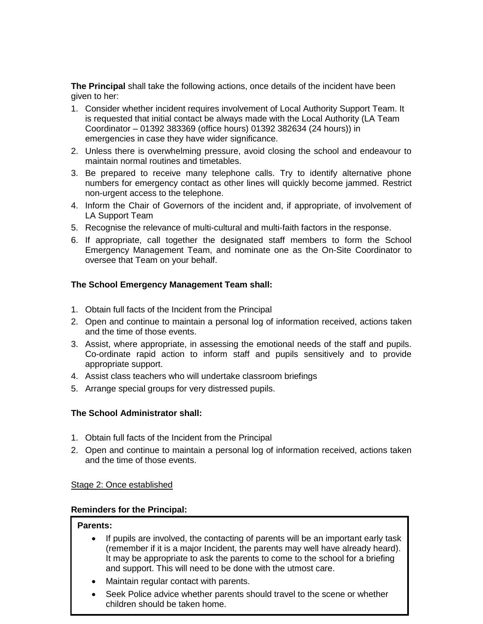**The Principal** shall take the following actions, once details of the incident have been given to her:

- 1. Consider whether incident requires involvement of Local Authority Support Team. It is requested that initial contact be always made with the Local Authority (LA Team Coordinator – 01392 383369 (office hours) 01392 382634 (24 hours)) in emergencies in case they have wider significance.
- 2. Unless there is overwhelming pressure, avoid closing the school and endeavour to maintain normal routines and timetables.
- 3. Be prepared to receive many telephone calls. Try to identify alternative phone numbers for emergency contact as other lines will quickly become jammed. Restrict non-urgent access to the telephone.
- 4. Inform the Chair of Governors of the incident and, if appropriate, of involvement of LA Support Team
- 5. Recognise the relevance of multi-cultural and multi-faith factors in the response.
- 6. If appropriate, call together the designated staff members to form the School Emergency Management Team, and nominate one as the On-Site Coordinator to oversee that Team on your behalf.

#### **The School Emergency Management Team shall:**

- 1. Obtain full facts of the Incident from the Principal
- 2. Open and continue to maintain a personal log of information received, actions taken and the time of those events.
- 3. Assist, where appropriate, in assessing the emotional needs of the staff and pupils. Co-ordinate rapid action to inform staff and pupils sensitively and to provide appropriate support.
- 4. Assist class teachers who will undertake classroom briefings
- 5. Arrange special groups for very distressed pupils.

#### **The School Administrator shall:**

- 1. Obtain full facts of the Incident from the Principal
- 2. Open and continue to maintain a personal log of information received, actions taken and the time of those events.

#### Stage 2: Once established

#### **Reminders for the Principal:**

#### **Parents:**

- If pupils are involved, the contacting of parents will be an important early task (remember if it is a major Incident, the parents may well have already heard). It may be appropriate to ask the parents to come to the school for a briefing and support. This will need to be done with the utmost care.
- Maintain regular contact with parents.
- Seek Police advice whether parents should travel to the scene or whether children should be taken home.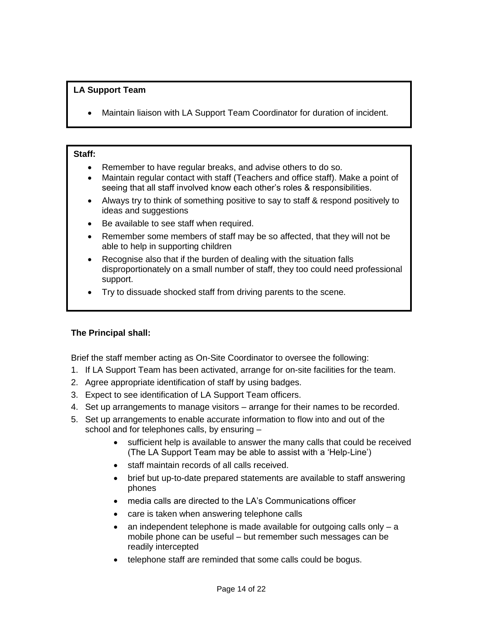#### **LA Support Team**

Maintain liaison with LA Support Team Coordinator for duration of incident.

#### **Staff:**

- Remember to have regular breaks, and advise others to do so.
- Maintain regular contact with staff (Teachers and office staff). Make a point of seeing that all staff involved know each other's roles & responsibilities.
- Always try to think of something positive to say to staff & respond positively to ideas and suggestions
- Be available to see staff when required.
- Remember some members of staff may be so affected, that they will not be able to help in supporting children
- Recognise also that if the burden of dealing with the situation falls disproportionately on a small number of staff, they too could need professional support.
- Try to dissuade shocked staff from driving parents to the scene.

#### **The Principal shall:**

Brief the staff member acting as On-Site Coordinator to oversee the following:

- 1. If LA Support Team has been activated, arrange for on-site facilities for the team.
- 2. Agree appropriate identification of staff by using badges.
- 3. Expect to see identification of LA Support Team officers.
- 4. Set up arrangements to manage visitors arrange for their names to be recorded.
- 5. Set up arrangements to enable accurate information to flow into and out of the school and for telephones calls, by ensuring –
	- sufficient help is available to answer the many calls that could be received (The LA Support Team may be able to assist with a 'Help-Line')
	- staff maintain records of all calls received.
	- brief but up-to-date prepared statements are available to staff answering phones
	- media calls are directed to the LA's Communications officer
	- care is taken when answering telephone calls
	- $\bullet$  an independent telephone is made available for outgoing calls only  $-$  a mobile phone can be useful – but remember such messages can be readily intercepted
	- telephone staff are reminded that some calls could be bogus.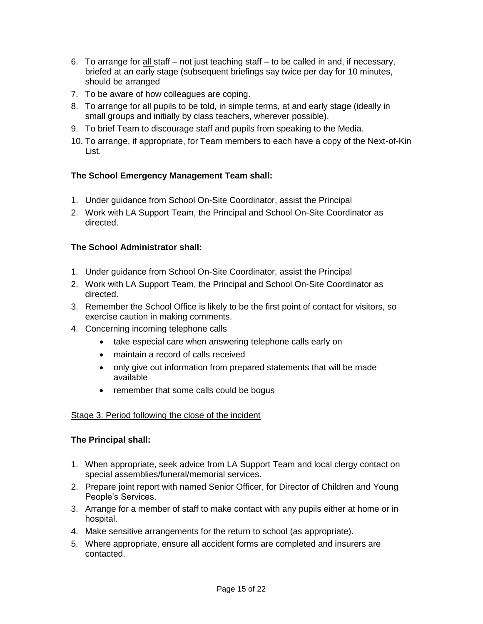- 6. To arrange for all staff not just teaching staff to be called in and, if necessary, briefed at an early stage (subsequent briefings say twice per day for 10 minutes, should be arranged
- 7. To be aware of how colleagues are coping.
- 8. To arrange for all pupils to be told, in simple terms, at and early stage (ideally in small groups and initially by class teachers, wherever possible).
- 9. To brief Team to discourage staff and pupils from speaking to the Media.
- 10. To arrange, if appropriate, for Team members to each have a copy of the Next-of-Kin List.

#### **The School Emergency Management Team shall:**

- 1. Under guidance from School On-Site Coordinator, assist the Principal
- 2. Work with LA Support Team, the Principal and School On-Site Coordinator as directed.

#### **The School Administrator shall:**

- 1. Under guidance from School On-Site Coordinator, assist the Principal
- 2. Work with LA Support Team, the Principal and School On-Site Coordinator as directed.
- 3. Remember the School Office is likely to be the first point of contact for visitors, so exercise caution in making comments.
- 4. Concerning incoming telephone calls
	- take especial care when answering telephone calls early on
	- maintain a record of calls received
	- only give out information from prepared statements that will be made available
	- remember that some calls could be bogus

#### Stage 3: Period following the close of the incident

#### **The Principal shall:**

- 1. When appropriate, seek advice from LA Support Team and local clergy contact on special assemblies/funeral/memorial services.
- 2. Prepare joint report with named Senior Officer, for Director of Children and Young People's Services.
- 3. Arrange for a member of staff to make contact with any pupils either at home or in hospital.
- 4. Make sensitive arrangements for the return to school (as appropriate).
- 5. Where appropriate, ensure all accident forms are completed and insurers are contacted.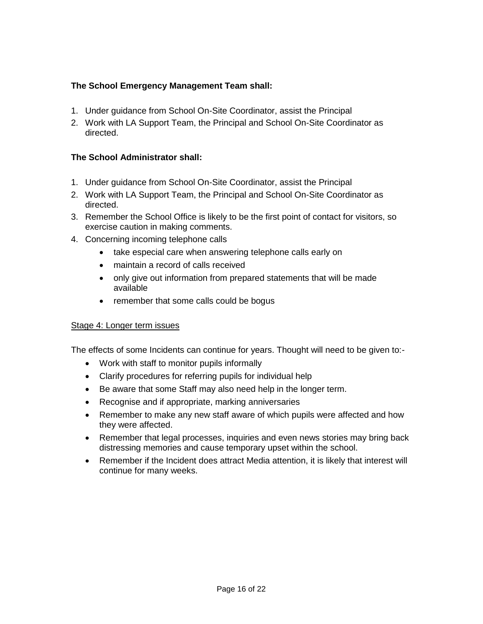#### **The School Emergency Management Team shall:**

- 1. Under guidance from School On-Site Coordinator, assist the Principal
- 2. Work with LA Support Team, the Principal and School On-Site Coordinator as directed.

#### **The School Administrator shall:**

- 1. Under guidance from School On-Site Coordinator, assist the Principal
- 2. Work with LA Support Team, the Principal and School On-Site Coordinator as directed.
- 3. Remember the School Office is likely to be the first point of contact for visitors, so exercise caution in making comments.
- 4. Concerning incoming telephone calls
	- take especial care when answering telephone calls early on
	- maintain a record of calls received
	- only give out information from prepared statements that will be made available
	- remember that some calls could be bogus

#### Stage 4: Longer term issues

The effects of some Incidents can continue for years. Thought will need to be given to:-

- Work with staff to monitor pupils informally
- Clarify procedures for referring pupils for individual help
- Be aware that some Staff may also need help in the longer term.
- Recognise and if appropriate, marking anniversaries
- Remember to make any new staff aware of which pupils were affected and how they were affected.
- Remember that legal processes, inquiries and even news stories may bring back distressing memories and cause temporary upset within the school.
- Remember if the Incident does attract Media attention, it is likely that interest will continue for many weeks.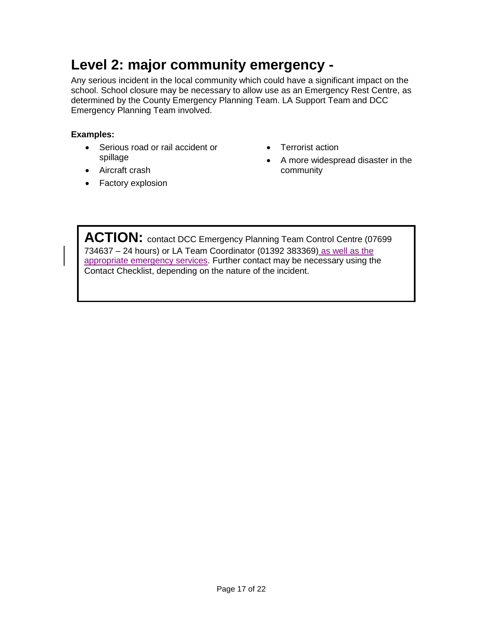# **Level 2: major community emergency -**

Any serious incident in the local community which could have a significant impact on the school. School closure may be necessary to allow use as an Emergency Rest Centre, as determined by the County Emergency Planning Team. LA Support Team and DCC Emergency Planning Team involved.

#### **Examples:**

- Serious road or rail accident or spillage
- Terrorist action
- A more widespread disaster in the community

• Factory explosion

• Aircraft crash

ACTION: contact DCC Emergency Planning Team Control Centre (07699 734637 – 24 hours) or LA Team Coordinator (01392 383369) as well as the appropriate emergency services. Further contact may be necessary using the Contact Checklist, depending on the nature of the incident.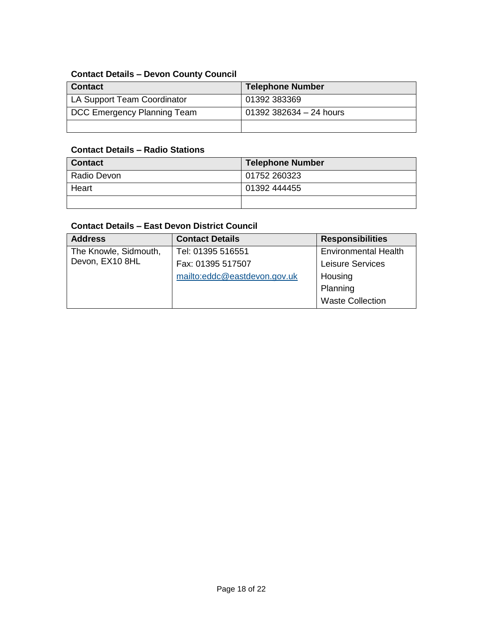## **Contact Details – Devon County Council**

| <b>Contact</b>              | <b>Telephone Number</b> |
|-----------------------------|-------------------------|
| LA Support Team Coordinator | 01392 383369            |
| DCC Emergency Planning Team | 01392 382634 - 24 hours |
|                             |                         |

#### **Contact Details – Radio Stations**

| <b>Contact</b> | <b>Telephone Number</b> |
|----------------|-------------------------|
| Radio Devon    | 01752 260323            |
| Heart          | 01392 444455            |
|                |                         |

#### **Contact Details – East Devon District Council**

| <b>Address</b>        | <b>Contact Details</b>       | <b>Responsibilities</b>     |
|-----------------------|------------------------------|-----------------------------|
| The Knowle, Sidmouth, | Tel: 01395 516551            | <b>Environmental Health</b> |
| Devon, EX10 8HL       | Fax: 01395 517507            | <b>Leisure Services</b>     |
|                       | mailto:eddc@eastdevon.gov.uk | Housing                     |
|                       |                              | Planning                    |
|                       |                              | <b>Waste Collection</b>     |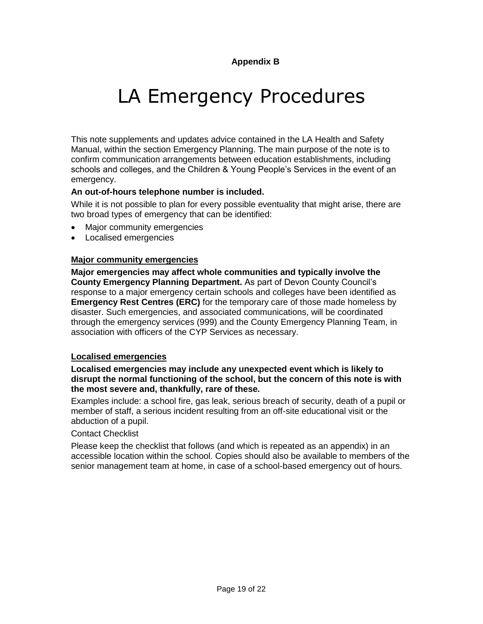# LA Emergency Procedures

This note supplements and updates advice contained in the LA Health and Safety Manual, within the section Emergency Planning. The main purpose of the note is to confirm communication arrangements between education establishments, including schools and colleges, and the Children & Young People's Services in the event of an emergency.

#### **An out-of-hours telephone number is included.**

While it is not possible to plan for every possible eventuality that might arise, there are two broad types of emergency that can be identified:

- Major community emergencies
- Localised emergencies

#### **Major community emergencies**

**Major emergencies may affect whole communities and typically involve the County Emergency Planning Department.** As part of Devon County Council's response to a major emergency certain schools and colleges have been identified as **Emergency Rest Centres (ERC)** for the temporary care of those made homeless by disaster. Such emergencies, and associated communications, will be coordinated through the emergency services (999) and the County Emergency Planning Team, in association with officers of the CYP Services as necessary.

#### **Localised emergencies**

#### **Localised emergencies may include any unexpected event which is likely to disrupt the normal functioning of the school, but the concern of this note is with the most severe and, thankfully, rare of these.**

Examples include: a school fire, gas leak, serious breach of security, death of a pupil or member of staff, a serious incident resulting from an off-site educational visit or the abduction of a pupil.

#### Contact Checklist

Please keep the checklist that follows (and which is repeated as an appendix) in an accessible location within the school. Copies should also be available to members of the senior management team at home, in case of a school-based emergency out of hours.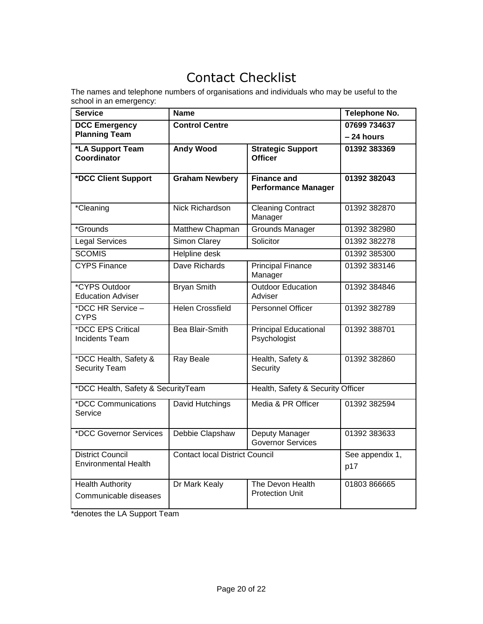## Contact Checklist

The names and telephone numbers of organisations and individuals who may be useful to the school in an emergency:

| <b>Service</b>                                         | <b>Name</b>                           |                                                  | Telephone No.          |
|--------------------------------------------------------|---------------------------------------|--------------------------------------------------|------------------------|
| <b>DCC Emergency</b>                                   | <b>Control Centre</b>                 |                                                  | 07699 734637           |
| <b>Planning Team</b>                                   |                                       |                                                  | - 24 hours             |
| *LA Support Team<br><b>Coordinator</b>                 | <b>Andy Wood</b>                      | <b>Strategic Support</b><br><b>Officer</b>       | 01392 383369           |
| *DCC Client Support                                    | <b>Graham Newbery</b>                 | <b>Finance and</b><br><b>Performance Manager</b> | 01392 382043           |
| *Cleaning                                              | <b>Nick Richardson</b>                | <b>Cleaning Contract</b><br>Manager              | 01392 382870           |
| <i>*</i> Grounds                                       | Matthew Chapman                       | Grounds Manager                                  | 01392 382980           |
| <b>Legal Services</b>                                  | <b>Simon Clarey</b>                   | Solicitor                                        | 01392 382278           |
| <b>SCOMIS</b>                                          | <b>Helpline desk</b>                  |                                                  | 01392 385300           |
| <b>CYPS Finance</b>                                    | Dave Richards                         | <b>Principal Finance</b><br>Manager              | 01392 383146           |
| *CYPS Outdoor<br><b>Education Adviser</b>              | <b>Bryan Smith</b>                    | <b>Outdoor Education</b><br>Adviser              | 01392 384846           |
| *DCC HR Service -<br><b>CYPS</b>                       | <b>Helen Crossfield</b>               | Personnel Officer                                | 01392 382789           |
| *DCC EPS Critical<br><b>Incidents Team</b>             | Bea Blair-Smith                       | <b>Principal Educational</b><br>Psychologist     | 01392 388701           |
| *DCC Health, Safety &<br><b>Security Team</b>          | Ray Beale                             | Health, Safety &<br>Security                     | 01392 382860           |
| *DCC Health, Safety & SecurityTeam                     |                                       | Health, Safety & Security Officer                |                        |
| *DCC Communications<br>Service                         | David Hutchings                       | Media & PR Officer                               | 01392 382594           |
| *DCC Governor Services                                 | Debbie Clapshaw                       | Deputy Manager<br><b>Governor Services</b>       | 01392 383633           |
| <b>District Council</b><br><b>Environmental Health</b> | <b>Contact local District Council</b> |                                                  | See appendix 1,<br>p17 |
| <b>Health Authority</b><br>Communicable diseases       | Dr Mark Kealy                         | The Devon Health<br><b>Protection Unit</b>       | 01803 866665           |

\*denotes the LA Support Team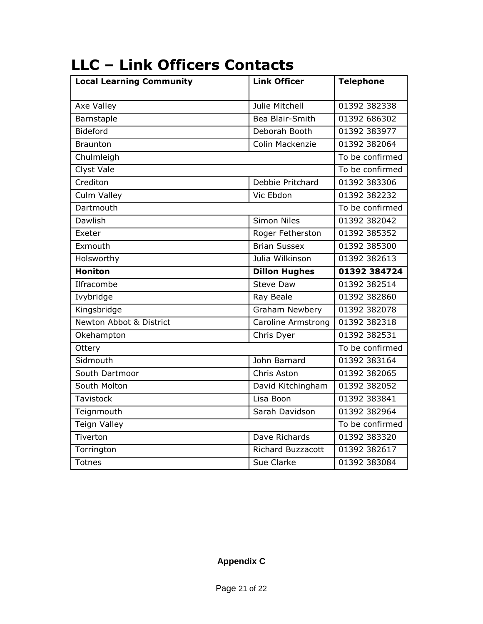| <b>Local Learning Community</b> | <b>Link Officer</b>       | <b>Telephone</b> |
|---------------------------------|---------------------------|------------------|
| Axe Valley                      | Julie Mitchell            | 01392 382338     |
| Barnstaple                      | Bea Blair-Smith           | 01392 686302     |
| <b>Bideford</b>                 | Deborah Booth             | 01392 383977     |
| <b>Braunton</b>                 | Colin Mackenzie           | 01392 382064     |
| Chulmleigh                      |                           | To be confirmed  |
| <b>Clyst Vale</b>               |                           | To be confirmed  |
| Crediton                        | Debbie Pritchard          | 01392 383306     |
| Culm Valley                     | Vic Ebdon                 | 01392 382232     |
| Dartmouth                       |                           | To be confirmed  |
| <b>Dawlish</b>                  | <b>Simon Niles</b>        | 01392 382042     |
| Exeter                          | Roger Fetherston          | 01392 385352     |
| Exmouth                         | <b>Brian Sussex</b>       | 01392 385300     |
| Holsworthy                      | Julia Wilkinson           | 01392 382613     |
| <b>Honiton</b>                  | <b>Dillon Hughes</b>      | 01392 384724     |
| Ilfracombe                      | <b>Steve Daw</b>          | 01392 382514     |
| Ivybridge                       | Ray Beale                 | 01392 382860     |
| Kingsbridge                     | <b>Graham Newbery</b>     | 01392 382078     |
| Newton Abbot & District         | <b>Caroline Armstrong</b> | 01392 382318     |
| Okehampton                      | Chris Dyer                | 01392 382531     |
| Ottery                          |                           | To be confirmed  |
| Sidmouth                        | John Barnard              | 01392 383164     |
| South Dartmoor                  | Chris Aston               | 01392 382065     |
| South Molton                    | David Kitchingham         | 01392 382052     |
| <b>Tavistock</b>                | Lisa Boon                 | 01392 383841     |
| Teignmouth                      | Sarah Davidson            | 01392 382964     |
| <b>Teign Valley</b>             |                           | To be confirmed  |
| Tiverton                        | Dave Richards             | 01392 383320     |
| Torrington                      | <b>Richard Buzzacott</b>  | 01392 382617     |
| <b>Totnes</b>                   | Sue Clarke                | 01392 383084     |

# **LLC – Link Officers Contacts**

### **Appendix C**